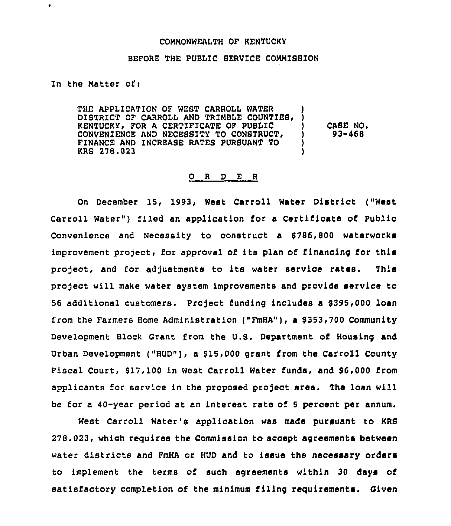### COMMONWEALTH OF KENTUCKY

## BEFORE THE PUBLIC SERVICE COMMISSION

In the Matter of:

 $\bullet$ 

THE APPLICATION OF WEST CARROLL WATER DISTRICT OF CARROLL AND TRIMBLE COUNTIES, KENTUCKY, FOR A CERTIFICATE OF PUBLIC CONVENIENCE AND NECESSITY TO CONSTRUCT< FINANCE AND INCREABE RATES PURSUANT TO KRS 278.023 **ן** !<br>. ) CABE NO, ) 93-468 )

## 0 <sup>R</sup> <sup>D</sup> E <sup>R</sup>

On December 15, 1993, West Carroll Water Distriot ("West Carroll Water") filed an application for a Certificate of Public Convenience and Necessity to construct a \$786,800 waterworks improvement project, for approval of its plan of financing for this project, and for adjustments to its water service rates. This project will make water system improvements and provide service to 56 additional customers. Project funding includes a \$395,000 loan from the Farmers Home Administration ("FmHA"), a \$ 353,700 Community Development Block Grant from the U.S. Department of Housing and Urban Development ("HUD"), a \$15,000 grant from the Carroll County Fiscal Court, \$17,100 in West Carroll Water funds, and \$6,000 from applicants for service in the proposed project area. The loan will be for a 40-year period at an interest rate of <sup>5</sup> percent per annum.

West Carroll Water's application was made pursuant to KRS 278.023, which requires the Commission to accept agreements between water districts and FmHA or HUD and to issue the necessary orders to implement the terms of such agreements within 30 days of satisfactory completion of the minimum filing requirements. Given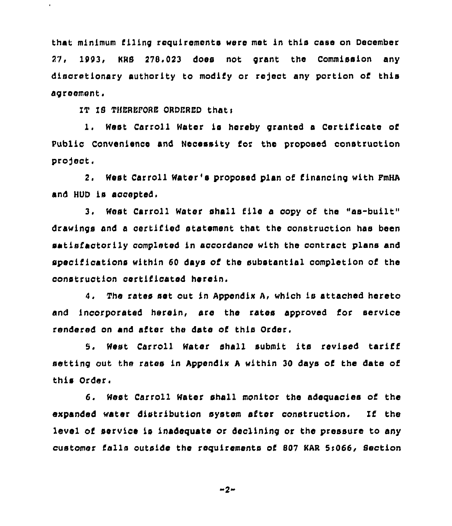that minimum filing requirements were met in this case on December 27, 1993, KRS 278.023 does not grant the Commission any discretionary authority to modify or reject any portion of this agreement,

IT IS THEREFORE ORDERED thati

 $\hat{\mathbf{r}}$ 

1, West Carroll Water is hereby granted <sup>a</sup> Certificate of Public Convenience and Necessity for the proposed oonstruction project.

2, West Carroll Water's proposed plan of financing with FmHA and HUD is accepted.

3. West Carroll Water shall file <sup>a</sup> copy of the "as-built" drawings and a certified statement that the construction has been satisfactorily completed in accordance with the contract plans and specifications within 60 days of the substantial completion of the construction certificated herein.

4, The rates set out in Appendix A, which is attached hereto and incorporated herein, are the rates approved for service rendered on and after the date of this Order.

8. West Carroll Mater shall submit its revised tariff setting out the rates in Appendix A within 30 days of the date of this Order.

6. Meat Carroll Water shall monitor the adequacies of the expanded water distribution system ofter construction. If the level of service is inadequate or declining or the pressure to any customer falls outside the requirements of 807 KAR 5>066, Section

$$
-2-
$$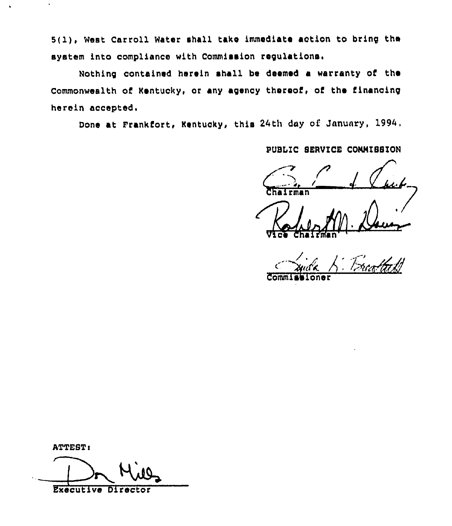5(1), West Carroll Water shall take immediate action to bring the system into compliance with Commission regulations.

Nothing contained herein shall be deemed a warranty of the Commonwealth of Kentucky, or any agency thereof, of the financing herein accepted.

Done at Frankfort, Kentucky, this 24th day of January, 1994.

PUBLIC SERVICE COMMISSION

 $Comm$ 

ATTEST:

**Executive Director**